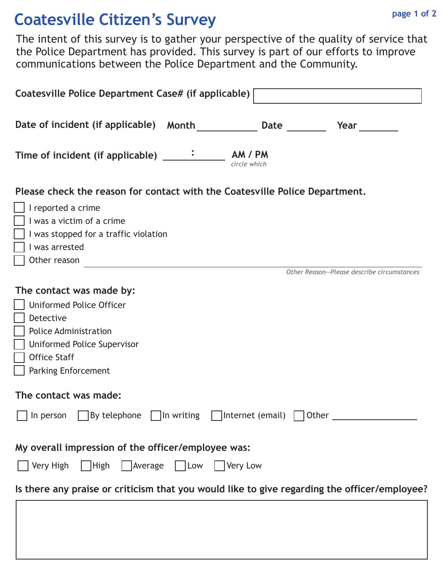## **Coatesville Citizen's Survey page 1 of 2**

The intent of this survey is to gather your perspective of the quality of service that the Police Department has provided. This survey is part of our efforts to improve communications between the Police Department and the Community.

| Coatesville Police Department Case# (if applicable)                                                                                                                                          |  |  |  |
|----------------------------------------------------------------------------------------------------------------------------------------------------------------------------------------------|--|--|--|
| Date of incident (if applicable) Month Date Date<br>Year                                                                                                                                     |  |  |  |
| circle which                                                                                                                                                                                 |  |  |  |
| Please check the reason for contact with the Coatesville Police Department.                                                                                                                  |  |  |  |
| I reported a crime<br>I was a victim of a crime<br>I was stopped for a traffic violation<br>I was arrested<br>Other reason                                                                   |  |  |  |
| Other Reason-Please describe circumstances                                                                                                                                                   |  |  |  |
| The contact was made by:<br><b>Uniformed Police Officer</b><br>Detective<br><b>Police Administration</b><br>Uniformed Police Supervisor<br><b>Office Staff</b><br><b>Parking Enforcement</b> |  |  |  |
| The contact was made:                                                                                                                                                                        |  |  |  |
| $\Box$ By telephone $\Box$ In writing $\Box$ Internet (email) $\Box$ Other $\Box$<br>In person                                                                                               |  |  |  |
| My overall impression of the officer/employee was:                                                                                                                                           |  |  |  |
| Very High<br>  $ $ High<br>Average Low Very Low                                                                                                                                              |  |  |  |
| Is there any praise or criticism that you would like to give regarding the officer/employee?                                                                                                 |  |  |  |
|                                                                                                                                                                                              |  |  |  |